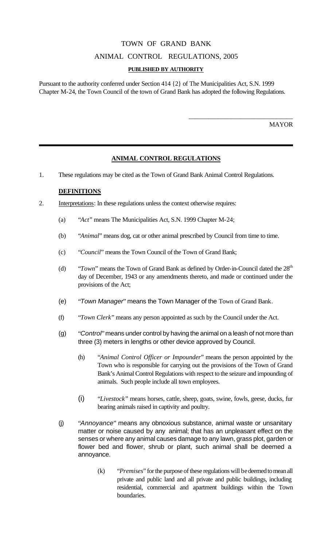# TOWN OF GRAND BANK

### ANIMAL CONTROL REGULATIONS, 2005

#### **PUBLISHED BY AUTHORITY**

Pursuant to the authority conferred under Section 414 {2} of The Municipalities Act, S.N. 1999 Chapter M-24, the Town Council of the town of Grand Bank has adopted the following Regulations.

MAYOR

\_\_\_\_\_\_\_\_\_\_\_\_\_\_\_\_\_\_\_\_\_\_\_\_\_\_\_\_\_\_\_\_

## **ANIMAL CONTROL REGULATIONS**

1. These regulations may be cited as the Town of Grand Bank Animal Control Regulations.

### **DEFINITIONS**

- 2. Interpretations: In these regulations unless the context otherwise requires:
	- (a) "*Act*" means The Municipalities Act, S.N. 1999 Chapter M-24;
	- (b) "*Animal*" means dog, cat or other animal prescribed by Council from time to time.
	- (c) "*Council*" means the Town Council of the Town of Grand Bank;
	- (d) "*Town*" means the Town of Grand Bank as defined by Order-in-Council dated the 28<sup>th</sup> day of December, 1943 or any amendments thereto, and made or continued under the provisions of the Act;
	- (e) "*Town Manager*" means the Town Manager of the Town of Grand Bank.
	- (f) "*Town Clerk*" means any person appointed as such by the Council under the Act.
	- (g) "*Control*" means under control by having the animal on a leash of not more than three (3) meters in lengths or other device approved by Council.
		- (h) "*Animal Control Officer or Impounder*" means the person appointed by the Town who is responsible for carrying out the provisions of the Town of Grand Bank's Animal Control Regulations with respect to the seizure and impounding of animals. Such people include all town employees.
		- (i) "*Livestock*" means horses, cattle, sheep, goats, swine, fowls, geese, ducks, fur bearing animals raised in captivity and poultry.
	- (j) "*Annoyance*" means any obnoxious substance, animal waste or unsanitary matter or noise caused by any animal; that has an unpleasant effect on the senses or where any animal causes damage to any lawn, grass plot, garden or flower bed and flower, shrub or plant, such animal shall be deemed a annoyance.
		- (k) "*Premises*" for the purpose of these regulations will be deemed to mean all private and public land and all private and public buildings, including residential, commercial and apartment buildings within the Town boundaries.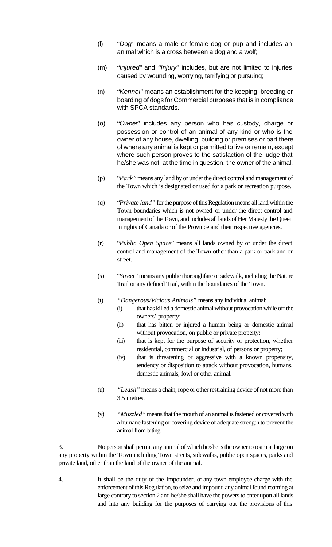- (l) "*Dog*" means a male or female dog or pup and includes an animal which is a cross between a dog and a wolf;
- (m) "*Injured*" and "*Injury*" includes, but are not limited to injuries caused by wounding, worrying, terrifying or pursuing;
- (n) "*Kennel*" means an establishment for the keeping, breeding or boarding of dogs for Commercial purposes that is in compliance with SPCA standards.
- (o) "*Owner*" includes any person who has custody, charge or possession or control of an animal of any kind or who is the owner of any house, dwelling, building or premises or part there of where any animal is kept or permitted to live or remain, except where such person proves to the satisfaction of the judge that he/she was not, at the time in question, the owner of the animal.
- (p) "*Park"* means any land by or under the direct control and management of the Town which is designated or used for a park or recreation purpose.
- (q) "*Private land"* for the purpose of this Regulation means all land within the Town boundaries which is not owned or under the direct control and management of the Town, and includes all lands of Her Majesty the Queen in rights of Canada or of the Province and their respective agencies.
- (r) "*Public Open Space*" means all lands owned by or under the direct control and management of the Town other than a park or parkland or street.
- (s) "*Street*" means any public thoroughfare or sidewalk, including the Nature Trail or any defined Trail, within the boundaries of the Town.
- (t) *"Dangerous/Vicious Animals"* means any individual animal;
	- (i) that has killed a domestic animal without provocation while off the owners' property;
	- (ii) that has bitten or injured a human being or domestic animal without provocation, on public or private property;
	- (iii) that is kept for the purpose of security or protection, whether residential, commercial or industrial, of persons or property;
	- (iv) that is threatening or aggressive with a known propensity, tendency or disposition to attack without provocation, humans, domestic animals, fowl or other animal.
- (u) *"Leash"* means a chain, rope or other restraining device of not more than 3.5 metres.
- (v) *"Muzzled"* means that the mouth of an animal is fastened or covered with a humane fastening or covering device of adequate strength to prevent the animal from biting.

3. No person shall permit any animal of which he/she is the owner to roam at large on any property within the Town including Town streets, sidewalks, public open spaces, parks and private land, other than the land of the owner of the animal.

4. It shall be the duty of the Impounder, or any town employee charge with the enforcement of this Regulation, to seize and impound any animal found roaming at large contrary to section 2 and he/she shall have the powers to enter upon all lands and into any building for the purposes of carrying out the provisions of this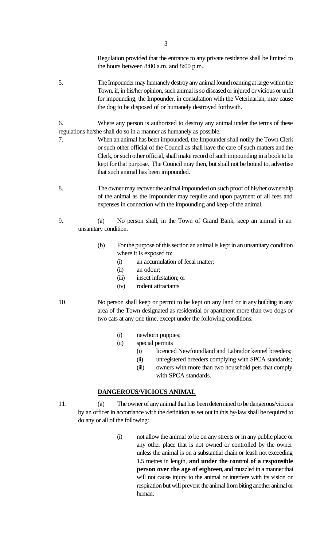Regulation provided that the entrance to any private residence shall be limited to the hours between 8:00 a.m. and 8:00 p.m..

5. The Impounder may humanely destroy any animal found roaming at large within the Town, if, in his/her opinion, such animal is so diseased or injured or vicious or unfit for impounding, the Impounder, in consultation with the Veterinarian, may cause the dog to be disposed of or humanely destroyed forthwith.

6. Where any person is authorized to destroy any animal under the terms of these regulations he/she shall do so in a manner as humanely as possible.

- 7. When an animal has been impounded, the Impounder shall notify the Town Clerk or such other official of the Council as shall have the care of such matters and the Clerk, or such other official, shall make record of such impounding in a book to be kept for that purpose. The Council may then, but shall not be bound to, advertise that such animal has been impounded.
- 8. The owner may recover the animal impounded on such proof of his/her ownership of the animal as the Impounder may require and upon payment of all fees and expenses in connection with the impounding and keep of the animal.
- 9. (a) No person shall, in the Town of Grand Bank, keep an animal in an unsanitary condition.
	- (b) For the purpose of this section an animal is kept in an unsanitary condition where it is exposed to:
		- (i) an accumulation of fecal matter;
		- (ii) an odour;
		- (iii) insect infestation; or
		- (iv) rodent attractants
- 10. No person shall keep or permit to be kept on any land or in any building in any area of the Town designated as residential or apartment more than two dogs or two cats at any one time, except under the following conditions:
	- (i) newborn puppies;
	- (ii) special permits
		- (i) licenced Newfoundland and Labrador kennel breeders;
		- (ii) unregistered breeders complying with SPCA standards;
		- (iii) owners with more than two household pets that comply with SPCA standards.

### **DANGEROUS/VICIOUS ANIMAL**

- 11. (a) The owner of any animal that has been determined to be dangerous/vicious by an officer in accordance with the definition as set out in this by-law shall be required to do any or all of the following:
	- (i) not allow the animal to be on any streets or in any public place or any other place that is not owned or controlled by the owner unless the animal is on a substantial chain or leash not exceeding 1.5 metres in length, **and under the control of a responsible person over the age of eighteen**, and muzzled in a manner that will not cause injury to the animal or interfere with its vision or respiration but will prevent the animal from biting another animal or human;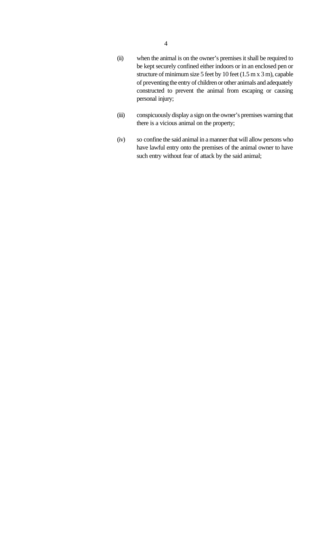- (ii) when the animal is on the owner's premises it shall be required to be kept securely confined either indoors or in an enclosed pen or structure of minimum size 5 feet by 10 feet (1.5 m x 3 m), capable of preventing the entry of children or other animals and adequately constructed to prevent the animal from escaping or causing personal injury;
- (iii) conspicuously display a sign on the owner's premises warning that there is a vicious animal on the property;
- (iv) so confine the said animal in a manner that will allow persons who have lawful entry onto the premises of the animal owner to have such entry without fear of attack by the said animal;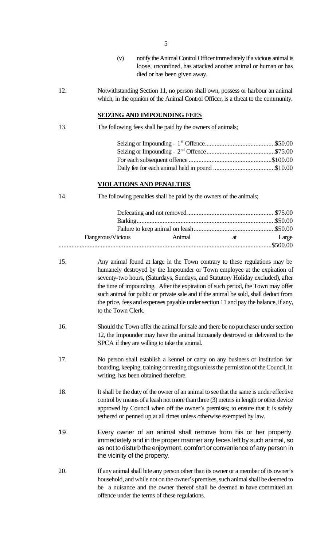- 5
- (v) notify the Animal Control Officer immediately if a vicious animal is loose, unconfined, has attacked another animal or human or has died or has been given away.
- 12. Notwithstanding Section 11, no person shall own, possess or harbour an animal which, in the opinion of the Animal Control Officer, is a threat to the community.

#### **SEIZING AND IMPOUNDING FEES**

13. The following fees shall be paid by the owners of animals;

#### **VIOLATIONS AND PENALTIES**

14. The following penalties shall be paid by the owners of the animals;

| Dangerous/Vicious | <b>Animal</b> | at at the set of the set of the set of the set of the set of the set of the set of the set of the set of the set of the set of the set of the set of the set of the set of the set of the set of the set of the set of the set | Large |
|-------------------|---------------|--------------------------------------------------------------------------------------------------------------------------------------------------------------------------------------------------------------------------------|-------|
|                   |               |                                                                                                                                                                                                                                |       |

- 15. Any animal found at large in the Town contrary to these regulations may be humanely destroyed by the Impounder or Town employee at the expiration of seventy-two hours, (Saturdays, Sundays, and Statutory Holiday excluded), after the time of impounding. After the expiration of such period, the Town may offer such animal for public or private sale and if the animal be sold, shall deduct from the price, fees and expenses payable under section 11 and pay the balance, if any, to the Town Clerk.
- 16. Should the Town offer the animal for sale and there be no purchaser under section 12, the Impounder may have the animal humanely destroyed or delivered to the SPCA if they are willing to take the animal.
- 17. No person shall establish a kennel or carry on any business or institution for boarding, keeping, training or treating dogs unless the permission of the Council, in writing, has been obtained therefore.
- 18. It shall be the duty of the owner of an animal to see that the same is under effective control by means of a leash not more than three (3) meters in length or other device approved by Council when off the owner's premises; to ensure that it is safely tethered or penned up at all times unless otherwise exempted by law.
- 19. Every owner of an animal shall remove from his or her property, immediately and in the proper manner any feces left by such animal, so as not to disturb the enjoyment, comfort or convenience of any person in the vicinity of the property.
- 20. If any animal shall bite any person other than its owner or a member of its owner's household, and while not on the owner's premises, such animal shall be deemed to be a nuisance and the owner thereof shall be deemed to have committed an offence under the terms of these regulations.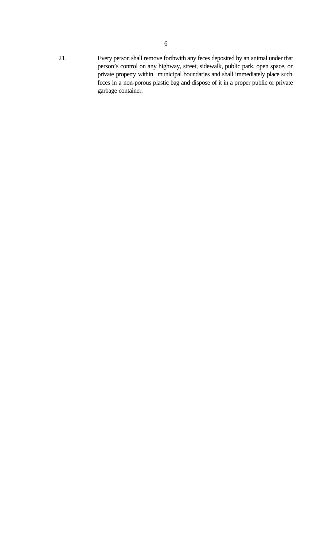21. Every person shall remove forthwith any feces deposited by an animal under that person's control on any highway, street, sidewalk, public park, open space, or private property within municipal boundaries and shall immediately place such feces in a non-porous plastic bag and dispose of it in a proper public or private garbage container.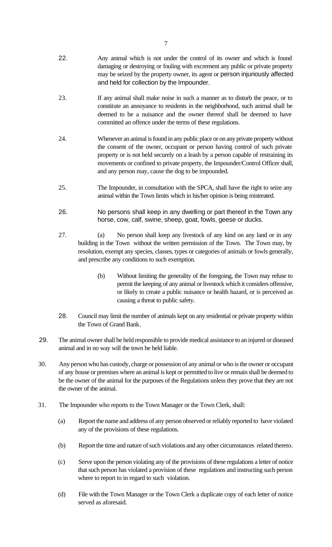- 22. Any animal which is not under the control of its owner and which is found damaging or destroying or fouling with excrement any public or private property may be seized by the property owner, its agent or person injuriously affected and held for collection by the Impounder.
- 23. If any animal shall make noise in such a manner as to disturb the peace, or to constitute an annoyance to residents in the neighborhood, such animal shall be deemed to be a nuisance and the owner thereof shall be deemed to have committed an offence under the terms of these regulations.
- 24. Whenever an animal is found in any public place or on any private property without the consent of the owner, occupant or person having control of such private property or is not held securely on a leash by a person capable of restraining its movements or confined to private property, the Impounder/Control Officer shall, and any person may, cause the dog to be impounded.
- 25. The Impounder, in consultation with the SPCA, shall have the right to seize any animal within the Town limits which in his/her opinion is being mistreated.
- 26. No persons shall keep in any dwelling or part thereof in the Town any horse, cow, calf, swine, sheep, goat, fowls, geese or ducks.
- 27. (a) No person shall keep any livestock of any kind on any land or in any building in the Town without the written permission of the Town. The Town may, by resolution, exempt any species, classes, types or categories of animals or fowls generally, and prescribe any conditions to such exemption.
	- (b) Without limiting the generality of the foregoing, the Town may refuse to permit the keeping of any animal or livestock which it considers offensive, or likely to create a public nuisance or health hazard, or is perceived as causing a threat to public safety.
- 28. Council may limit the number of animals kept on any residential or private property within the Town of Grand Bank.
- 29. The animal owner shall be held responsible to provide medical assistance to an injured or diseased animal and in no way will the town be held liable.
- 30. Any person who has custody, charge or possession of any animal or who is the owner or occupant of any house or premises where an animal is kept or permitted to live or remain shall be deemed to be the owner of the animal for the purposes of the Regulations unless they prove that they are not the owner of the animal.
- 31. The Impounder who reports to the Town Manager or the Town Clerk, shall:
	- (a) Report the name and address of any person observed or reliably reported to have violated any of the provisions of these regulations.
	- (b) Report the time and nature of such violations and any other circumstances related thereto.
	- (c) Serve upon the person violating any of the provisions of these regulations a letter of notice that such person has violated a provision of these regulations and instructing such person where to report to in regard to such violation.
	- (d) File with the Town Manager or the Town Clerk a duplicate copy of each letter of notice served as aforesaid.